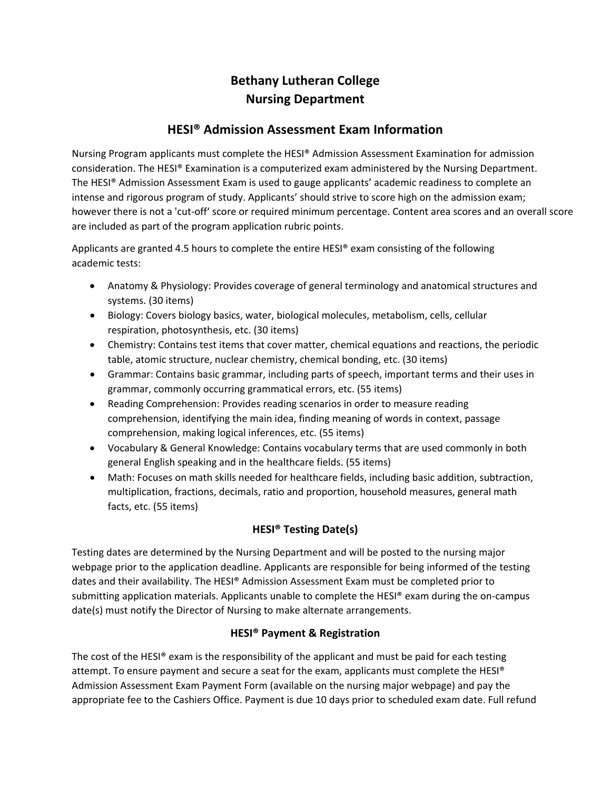# **Bethany Lutheran College Nursing Department**

## **HESI® Admission Assessment Exam Information**

Nursing Program applicants must complete the HESI® Admission Assessment Examination for admission consideration. The HESI® Examination is a computerized exam administered by the Nursing Department. The HESI® Admission Assessment Exam is used to gauge applicants' academic readiness to complete an intense and rigorous program of study. Applicants' should strive to score high on the admission exam; however there is not a 'cut-off' score or required minimum percentage. Content area scores and an overall score are included as part of the program application rubric points.

Applicants are granted 4.5 hours to complete the entire HESI® exam consisting of the following academic tests:

- Anatomy & Physiology: Provides coverage of general terminology and anatomical structures and systems. (30 items)
- Biology: Covers biology basics, water, biological molecules, metabolism, cells, cellular respiration, photosynthesis, etc. (30 items)
- Chemistry: Contains test items that cover matter, chemical equations and reactions, the periodic table, atomic structure, nuclear chemistry, chemical bonding, etc. (30 items)
- Grammar: Contains basic grammar, including parts of speech, important terms and their uses in grammar, commonly occurring grammatical errors, etc. (55 items)
- Reading Comprehension: Provides reading scenarios in order to measure reading comprehension, identifying the main idea, finding meaning of words in context, passage comprehension, making logical inferences, etc. (55 items)
- Vocabulary & General Knowledge: Contains vocabulary terms that are used commonly in both general English speaking and in the healthcare fields. (55 items)
- Math: Focuses on math skills needed for healthcare fields, including basic addition, subtraction, multiplication, fractions, decimals, ratio and proportion, household measures, general math facts, etc. (55 items)

## **HESI® Testing Date(s)**

Testing dates are determined by the Nursing Department and will be posted to the nursing major webpage prior to the application deadline. Applicants are responsible for being informed of the testing dates and their availability. The HESI® Admission Assessment Exam must be completed prior to submitting application materials. Applicants unable to complete the HESI® exam during the on-campus date(s) must notify the Director of Nursing to make alternate arrangements.

### **HESI® Payment & Registration**

The cost of the HESI<sup>®</sup> exam is the responsibility of the applicant and must be paid for each testing attempt. To ensure payment and secure a seat for the exam, applicants must complete the HESI® Admission Assessment Exam Payment Form (available on the nursing major webpage) and pay the appropriate fee to the Cashiers Office. Payment is due 10 days prior to scheduled exam date. Full refund